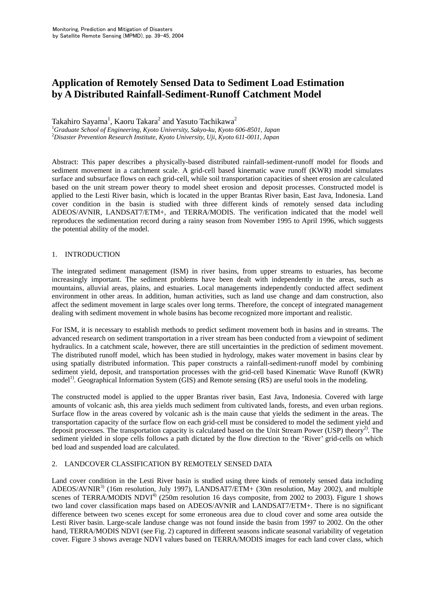# **Application of Remotely Sensed Data to Sediment Load Estimation by A Distributed Rainfall-Sediment-Runoff Catchment Model**

Takahiro Sayama<sup>1</sup>, Kaoru Takara<sup>2</sup> and Yasuto Tachikawa<sup>2</sup> <sup>1</sup>Graduate School of Engineering, Kyoto University, Sakyo-ku, Kyoto 606-8501, Japan<br><sup>2</sup>Disaster Prevention Pessagreb Institute, Kyoto University, Uii, Kyoto 611,0011, Japan *Disaster Prevention Research Institute, Kyoto University, Uji, Kyoto 611-0011, Japan*

Abstract: This paper describes a physically-based distributed rainfall-sediment-runoff model for floods and sediment movement in a catchment scale. A grid-cell based kinematic wave runoff (KWR) model simulates surface and subsurface flows on each grid-cell, while soil transportation capacities of sheet erosion are calculated based on the unit stream power theory to model sheet erosion and deposit processes. Constructed model is applied to the Lesti River basin, which is located in the upper Brantas River basin, East Java, Indonesia. Land cover condition in the basin is studied with three different kinds of remotely sensed data including ADEOS/AVNIR, LANDSAT7/ETM+, and TERRA/MODIS. The verification indicated that the model well reproduces the sedimentation record during a rainy season from November 1995 to April 1996, which suggests the potential ability of the model.

# 1. INTRODUCTION

The integrated sediment management (ISM) in river basins, from upper streams to estuaries, has become increasingly important. The sediment problems have been dealt with independently in the areas, such as mountains, alluvial areas, plains, and estuaries. Local managements independently conducted affect sediment environment in other areas. In addition, human activities, such as land use change and dam construction, also affect the sediment movement in large scales over long terms. Therefore, the concept of integrated management dealing with sediment movement in whole basins has become recognized more important and realistic.

For ISM, it is necessary to establish methods to predict sediment movement both in basins and in streams. The advanced research on sediment transportation in a river stream has been conducted from a viewpoint of sediment hydraulics. In a catchment scale, however, there are still uncertainties in the prediction of sediment movement. The distributed runoff model, which has been studied in hydrology, makes water movement in basins clear by using spatially distributed information. This paper constructs a rainfall-sediment-runoff model by combining sediment yield, deposit, and transportation processes with the grid-cell based Kinematic Wave Runoff (KWR) model<sup>1)</sup>. Geographical Information System (GIS) and Remote sensing (RS) are useful tools in the modeling.

The constructed model is applied to the upper Brantas river basin, East Java, Indonesia. Covered with large amounts of volcanic ash, this area yields much sediment from cultivated lands, forests, and even urban regions. Surface flow in the areas covered by volcanic ash is the main cause that yields the sediment in the areas. The transportation capacity of the surface flow on each grid-cell must be considered to model the sediment yield and deposit processes. The transportation capacity is calculated based on the Unit Stream Power (USP) theory<sup>2)</sup>. The sediment yielded in slope cells follows a path dictated by the flow direction to the 'River' grid-cells on which bed load and suspended load are calculated.

# 2. LANDCOVER CLASSIFICATION BY REMOTELY SENSED DATA

Land cover condition in the Lesti River basin is studied using three kinds of remotely sensed data including ADEOS/AVNIR<sup>3)</sup> (16m resolution, July 1997), LANDSAT7/ETM+ (30m resolution, May 2002), and multiple scenes of TERRA/MODIS NDVI<sup>4)</sup> (250m resolution 16 days composite, from 2002 to 2003). Figure 1 shows two land cover classification maps based on ADEOS/AVNIR and LANDSAT7/ETM+. There is no significant difference between two scenes except for some erroneous area due to cloud cover and some area outside the Lesti River basin. Large-scale landuse change was not found inside the basin from 1997 to 2002. On the other hand, TERRA/MODIS NDVI (see Fig. 2) captured in different seasons indicate seasonal variability of vegetation cover. Figure 3 shows average NDVI values based on TERRA/MODIS images for each land cover class, which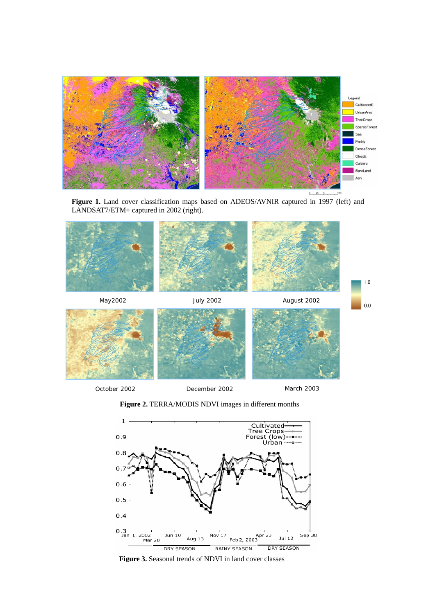

**Figure 1.** Land cover classification maps based on ADEOS/AVNIR captured in 1997 (left) and LANDSAT7/ETM+ captured in 2002 (right).



**Figure 2.** TERRA/MODIS NDVI images in different months



Figure 3. Seasonal trends of NDVI in land cover classes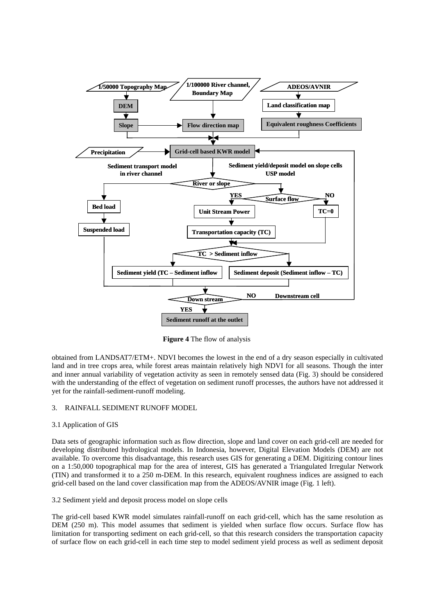

**Figure 4** The flow of analysis

obtained from LANDSAT7/ETM+. NDVI becomes the lowest in the end of a dry season especially in cultivated land and in tree crops area, while forest areas maintain relatively high NDVI for all seasons. Though the inter and inner annual variability of vegetation activity as seen in remotely sensed data (Fig. 3) should be considered with the understanding of the effect of vegetation on sediment runoff processes, the authors have not addressed it yet for the rainfall-sediment-runoff modeling.

# 3. RAINFALL SEDIMENT RUNOFF MODEL

#### 3.1 Application of GIS

Data sets of geographic information such as flow direction, slope and land cover on each grid-cell are needed for developing distributed hydrological models. In Indonesia, however, Digital Elevation Models (DEM) are not available. To overcome this disadvantage, this research uses GIS for generating a DEM. Digitizing contour lines on a 1:50,000 topographical map for the area of interest, GIS has generated a Triangulated Irregular Network (TIN) and transformed it to a 250 m-DEM. In this research, equivalent roughness indices are assigned to each grid-cell based on the land cover classification map from the ADEOS/AVNIR image (Fig. 1 left).

# 3.2 Sediment yield and deposit process model on slope cells

The grid-cell based KWR model simulates rainfall-runoff on each grid-cell, which has the same resolution as DEM (250 m). This model assumes that sediment is yielded when surface flow occurs. Surface flow has limitation for transporting sediment on each grid-cell, so that this research considers the transportation capacity of surface flow on each grid-cell in each time step to model sediment yield process as well as sediment deposit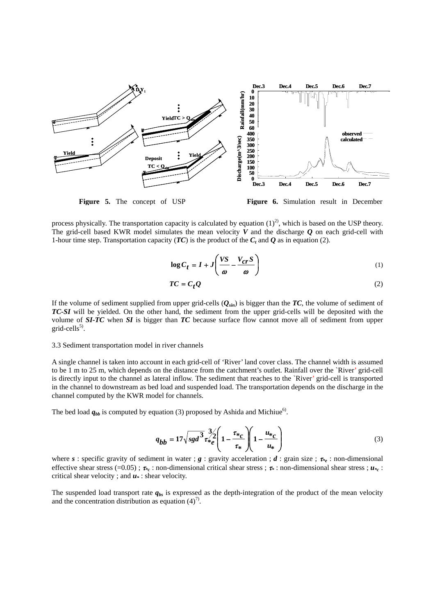

**Figure 5.** The concept of USP **Figure 6.** Simulation result in December

process physically. The transportation capacity is calculated by equation  $(1)^2$ , which is based on the USP theory. The grid-cell based KWR model simulates the mean velocity *V* and the discharge *Q* on each grid-cell with 1-hour time step. Transportation capacity ( $TC$ ) is the product of the  $C_t$  and  $Q$  as in equation (2).

$$
\log C_t = I + J \left( \frac{VS}{\omega} - \frac{V_{cr}S}{\omega} \right)
$$
 (1)

$$
TC = C_t Q \tag{2}
$$

If the volume of sediment supplied from upper grid-cells  $(Q_{sin})$  is bigger than the  $TC$ , the volume of sediment of *TC-SI* will be yielded. On the other hand, the sediment from the upper grid-cells will be deposited with the volume of *SI-TC* when *SI* is bigger than *TC* because surface flow cannot move all of sediment from upper  $grid$ -cells<sup>5)</sup>.

#### 3.3 Sediment transportation model in river channels

A single channel is taken into account in each grid-cell of 'River' land cover class. The channel width is assumed to be 1 m to 25 m, which depends on the distance from the catchment's outlet. Rainfall over the `River' grid-cell is directly input to the channel as lateral inflow. The sediment that reaches to the `River' grid-cell is transported in the channel to downstream as bed load and suspended load. The transportation depends on the discharge in the channel computed by the KWR model for channels.

The bed load  $q_{bb}$  is computed by equation (3) proposed by Ashida and Michiue<sup>6)</sup>.

$$
q_{bb} = 17\sqrt{sgd^{3} \tau_{*e}^{2}} \left(1 - \frac{\tau_{*c}}{\tau_{*}}\right) \left(1 - \frac{u_{*c}}{u_{*}}\right)
$$
 (3)

where *s* : specific gravity of sediment in water ; *g* : gravity acceleration ; *d* : grain size ;  $\tau_{e}$  : non-dimensional effective shear stress (=0.05) ; <sup>τ</sup>*\*c* : non-dimensional critical shear stress ; <sup>τ</sup>*\** : non-dimensional shear stress ; *u\*c* : critical shear velocity; and  $u^*$ : shear velocity.

The suspended load transport rate  $q_{bs}$  is expressed as the depth-integration of the product of the mean velocity and the concentration distribution as equation  $(4)^7$ .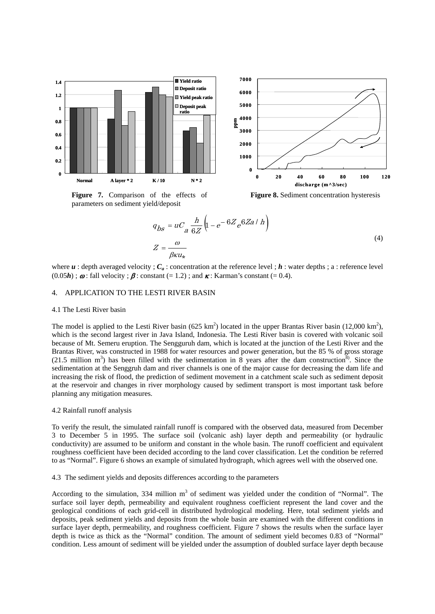

**Figure 7.** Comparison of the effects of parameters on sediment yield/deposit

**Figure 8.** Sediment concentration hysteresis

$$
q_{bs} = uC_a \frac{h}{6Z} \left( 1 - e^{-6Z} e^{6Za / h} \right)
$$
  

$$
Z = \frac{\omega}{\beta \kappa u_*}
$$
 (4)

where  $u$  : depth averaged velocity ;  $C_a$  : concentration at the reference level ;  $h$  : water depths ; a : reference level  $(0.05h)$ ;  $\boldsymbol{\omega}$ : fall velocity;  $\boldsymbol{\beta}$ : constant (= 1.2); and  $\boldsymbol{\kappa}$ : Karman's constant (= 0.4).

#### 4. APPLICATION TO THE LESTI RIVER BASIN

## 4.1 The Lesti River basin

The model is applied to the Lesti River basin (625 km<sup>2</sup>) located in the upper Brantas River basin (12,000 km<sup>2</sup>), which is the second largest river in Java Island, Indonesia. The Lesti River basin is covered with volcanic soil because of Mt. Semeru eruption. The Sengguruh dam, which is located at the junction of the Lesti River and the Brantas River, was constructed in 1988 for water resources and power generation, but the 85 % of gross storage (21.5 million  $m<sup>3</sup>$ ) has been filled with the sedimentation in 8 years after the dam construction<sup>8</sup>). Since the sedimentation at the Senggruh dam and river channels is one of the major cause for decreasing the dam life and increasing the risk of flood, the prediction of sediment movement in a catchment scale such as sediment deposit at the reservoir and changes in river morphology caused by sediment transport is most important task before planning any mitigation measures.

#### 4.2 Rainfall runoff analysis

To verify the result, the simulated rainfall runoff is compared with the observed data, measured from December 3 to December 5 in 1995. The surface soil (volcanic ash) layer depth and permeability (or hydraulic conductivity) are assumed to be uniform and constant in the whole basin. The runoff coefficient and equivalent roughness coefficient have been decided according to the land cover classification. Let the condition be referred to as "Normal". Figure 6 shows an example of simulated hydrograph, which agrees well with the observed one.

## 4.3 The sediment yields and deposits differences according to the parameters

According to the simulation,  $334$  million  $m<sup>3</sup>$  of sediment was yielded under the condition of "Normal". The surface soil layer depth, permeability and equivalent roughness coefficient represent the land cover and the geological conditions of each grid-cell in distributed hydrological modeling. Here, total sediment yields and deposits, peak sediment yields and deposits from the whole basin are examined with the different conditions in surface layer depth, permeability, and roughness coefficient. Figure 7 shows the results when the surface layer depth is twice as thick as the "Normal" condition. The amount of sediment yield becomes 0.83 of "Normal" condition. Less amount of sediment will be yielded under the assumption of doubled surface layer depth because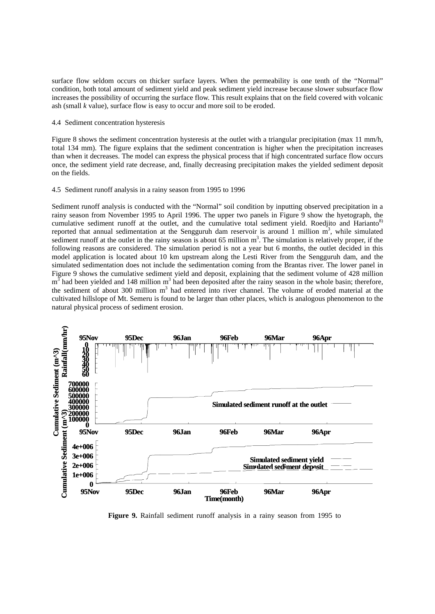surface flow seldom occurs on thicker surface layers. When the permeability is one tenth of the "Normal" condition, both total amount of sediment yield and peak sediment yield increase because slower subsurface flow increases the possibility of occurring the surface flow. This result explains that on the field covered with volcanic ash (small *k* value), surface flow is easy to occur and more soil to be eroded.

## 4.4 Sediment concentration hysteresis

Figure 8 shows the sediment concentration hysteresis at the outlet with a triangular precipitation (max 11 mm/h, total 134 mm). The figure explains that the sediment concentration is higher when the precipitation increases than when it decreases. The model can express the physical process that if high concentrated surface flow occurs once, the sediment yield rate decrease, and, finally decreasing precipitation makes the yielded sediment deposit on the fields.

#### 4.5 Sediment runoff analysis in a rainy season from 1995 to 1996

Sediment runoff analysis is conducted with the "Normal" soil condition by inputting observed precipitation in a rainy season from November 1995 to April 1996. The upper two panels in Figure 9 show the hyetograph, the cumulative sediment runoff at the outlet, and the cumulative total sediment yield. Roedjito and Harianto<sup>8)</sup> reported that annual sedimentation at the Sengguruh dam reservoir is around 1 million  $\overline{m}^3$ , while simulated sediment runoff at the outlet in the rainy season is about  $65$  million  $m<sup>3</sup>$ . The simulation is relatively proper, if the following reasons are considered. The simulation period is not a year but 6 months, the outlet decided in this model application is located about 10 km upstream along the Lesti River from the Sengguruh dam, and the simulated sedimentation does not include the sedimentation coming from the Brantas river. The lower panel in Figure 9 shows the cumulative sediment yield and deposit, explaining that the sediment volume of 428 million  $m<sup>3</sup>$  had been yielded and 148 million  $m<sup>3</sup>$  had been deposited after the rainy season in the whole basin; therefore, the sediment of about 300 million m<sup>3</sup> had entered into river channel. The volume of eroded material at the cultivated hillslope of Mt. Semeru is found to be larger than other places, which is analogous phenomenon to the natural physical process of sediment erosion.



**Figure 9.** Rainfall sediment runoff analysis in a rainy season from 1995 to